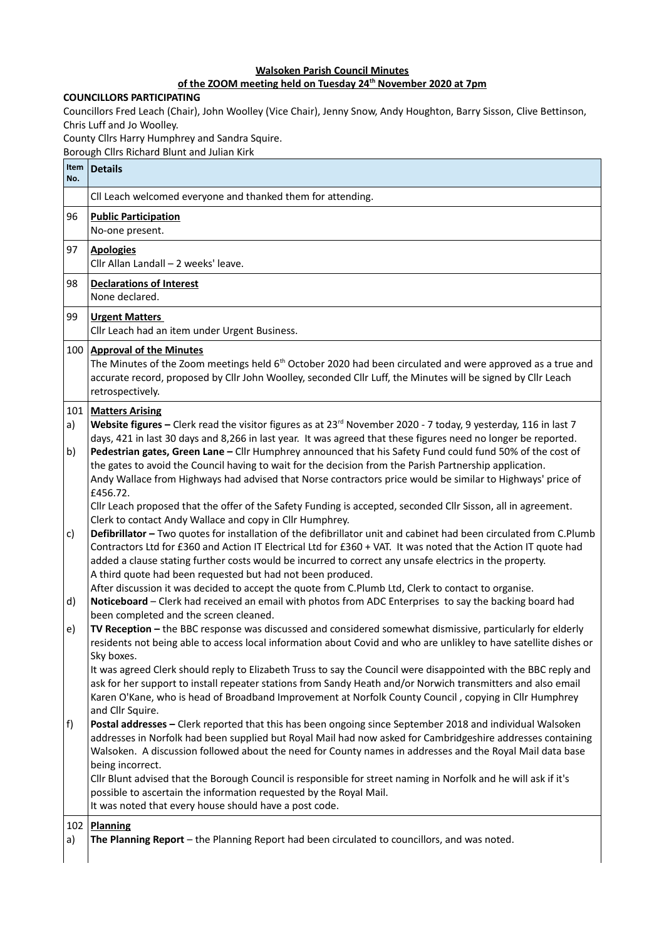## **Walsoken Parish Council Minutes**

## **of the ZOOM meeting held on Tuesday 24th November 2020 at 7pm**

## **COUNCILLORS PARTICIPATING**

Councillors Fred Leach (Chair), John Woolley (Vice Chair), Jenny Snow, Andy Houghton, Barry Sisson, Clive Bettinson, Chris Luff and Jo Woolley.

County Cllrs Harry Humphrey and Sandra Squire.

Borough Cllrs Richard Blunt and Julian Kirk

| Item<br>No.     | <b>Details</b>                                                                                                                                                                                                                                                                                                                                                                                                                                                                                                                                                                                                                                                                                                         |
|-----------------|------------------------------------------------------------------------------------------------------------------------------------------------------------------------------------------------------------------------------------------------------------------------------------------------------------------------------------------------------------------------------------------------------------------------------------------------------------------------------------------------------------------------------------------------------------------------------------------------------------------------------------------------------------------------------------------------------------------------|
|                 | Cll Leach welcomed everyone and thanked them for attending.                                                                                                                                                                                                                                                                                                                                                                                                                                                                                                                                                                                                                                                            |
| 96              | <b>Public Participation</b><br>No-one present.                                                                                                                                                                                                                                                                                                                                                                                                                                                                                                                                                                                                                                                                         |
| 97              | <b>Apologies</b><br>Cllr Allan Landall - 2 weeks' leave.                                                                                                                                                                                                                                                                                                                                                                                                                                                                                                                                                                                                                                                               |
| 98              | <b>Declarations of Interest</b><br>None declared.                                                                                                                                                                                                                                                                                                                                                                                                                                                                                                                                                                                                                                                                      |
| 99              | <b>Urgent Matters</b><br>Cllr Leach had an item under Urgent Business.                                                                                                                                                                                                                                                                                                                                                                                                                                                                                                                                                                                                                                                 |
|                 | 100 Approval of the Minutes<br>The Minutes of the Zoom meetings held 6 <sup>th</sup> October 2020 had been circulated and were approved as a true and<br>accurate record, proposed by Cllr John Woolley, seconded Cllr Luff, the Minutes will be signed by Cllr Leach<br>retrospectively.                                                                                                                                                                                                                                                                                                                                                                                                                              |
| 101<br>a)<br>b) | <b>Matters Arising</b><br>Website figures - Clerk read the visitor figures as at 23 <sup>rd</sup> November 2020 - 7 today, 9 yesterday, 116 in last 7<br>days, 421 in last 30 days and 8,266 in last year. It was agreed that these figures need no longer be reported.<br>Pedestrian gates, Green Lane - Cllr Humphrey announced that his Safety Fund could fund 50% of the cost of<br>the gates to avoid the Council having to wait for the decision from the Parish Partnership application.                                                                                                                                                                                                                        |
| c)              | Andy Wallace from Highways had advised that Norse contractors price would be similar to Highways' price of<br>£456.72.<br>Cllr Leach proposed that the offer of the Safety Funding is accepted, seconded Cllr Sisson, all in agreement.<br>Clerk to contact Andy Wallace and copy in Cllr Humphrey.<br>Defibrillator - Two quotes for installation of the defibrillator unit and cabinet had been circulated from C.Plumb<br>Contractors Ltd for £360 and Action IT Electrical Ltd for £360 + VAT. It was noted that the Action IT quote had<br>added a clause stating further costs would be incurred to correct any unsafe electrics in the property.<br>A third quote had been requested but had not been produced. |
| d)              | After discussion it was decided to accept the quote from C.Plumb Ltd, Clerk to contact to organise.<br>Noticeboard - Clerk had received an email with photos from ADC Enterprises to say the backing board had<br>been completed and the screen cleaned.                                                                                                                                                                                                                                                                                                                                                                                                                                                               |
| e)              | TV Reception - the BBC response was discussed and considered somewhat dismissive, particularly for elderly<br>residents not being able to access local information about Covid and who are unlikley to have satellite dishes or<br>Sky boxes.                                                                                                                                                                                                                                                                                                                                                                                                                                                                          |
|                 | It was agreed Clerk should reply to Elizabeth Truss to say the Council were disappointed with the BBC reply and<br>ask for her support to install repeater stations from Sandy Heath and/or Norwich transmitters and also email<br>Karen O'Kane, who is head of Broadband Improvement at Norfolk County Council, copying in Cllr Humphrey<br>and Cllr Squire.                                                                                                                                                                                                                                                                                                                                                          |
| f)              | Postal addresses - Clerk reported that this has been ongoing since September 2018 and individual Walsoken<br>addresses in Norfolk had been supplied but Royal Mail had now asked for Cambridgeshire addresses containing<br>Walsoken. A discussion followed about the need for County names in addresses and the Royal Mail data base<br>being incorrect.<br>Cllr Blunt advised that the Borough Council is responsible for street naming in Norfolk and he will ask if it's<br>possible to ascertain the information requested by the Royal Mail.<br>It was noted that every house should have a post code.                                                                                                           |
| 102<br>a)       | Planning<br>The Planning Report - the Planning Report had been circulated to councillors, and was noted.                                                                                                                                                                                                                                                                                                                                                                                                                                                                                                                                                                                                               |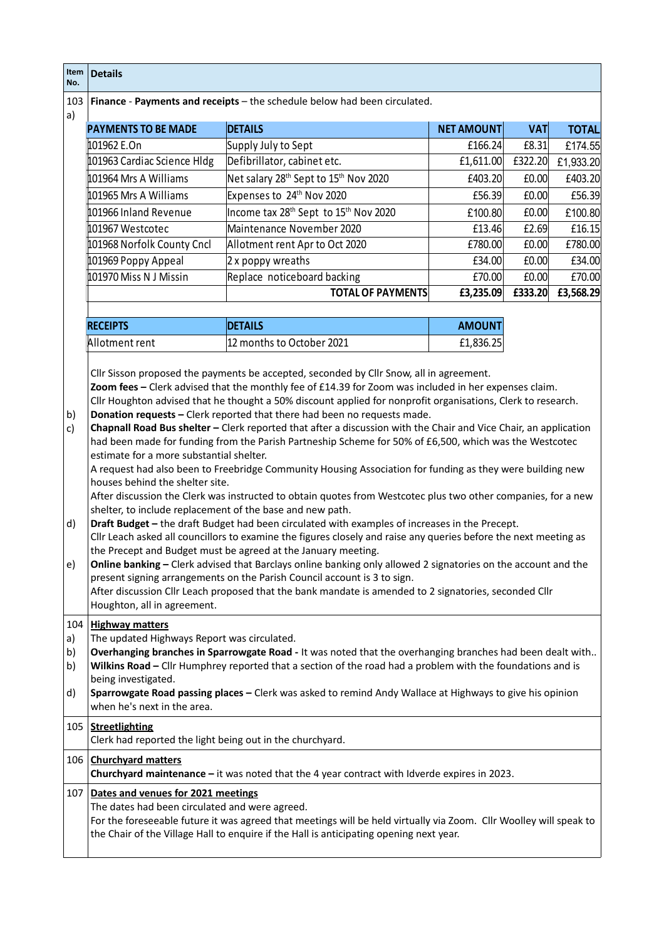| Item<br>No.                 | <b>Details</b>                                                                                                                                                                                                                                                                                                                                                                                                                                                                                                                                                                                                                                                                                                                                                                                                                                                                                                                                                                                                                                                                                                                                                                                                                                                                                               |                                                                                                |                   |            |              |  |
|-----------------------------|--------------------------------------------------------------------------------------------------------------------------------------------------------------------------------------------------------------------------------------------------------------------------------------------------------------------------------------------------------------------------------------------------------------------------------------------------------------------------------------------------------------------------------------------------------------------------------------------------------------------------------------------------------------------------------------------------------------------------------------------------------------------------------------------------------------------------------------------------------------------------------------------------------------------------------------------------------------------------------------------------------------------------------------------------------------------------------------------------------------------------------------------------------------------------------------------------------------------------------------------------------------------------------------------------------------|------------------------------------------------------------------------------------------------|-------------------|------------|--------------|--|
| 103<br>a)                   |                                                                                                                                                                                                                                                                                                                                                                                                                                                                                                                                                                                                                                                                                                                                                                                                                                                                                                                                                                                                                                                                                                                                                                                                                                                                                                              | Finance - Payments and receipts - the schedule below had been circulated.                      |                   |            |              |  |
|                             | <b>PAYMENTS TO BE MADE</b>                                                                                                                                                                                                                                                                                                                                                                                                                                                                                                                                                                                                                                                                                                                                                                                                                                                                                                                                                                                                                                                                                                                                                                                                                                                                                   | <b>DETAILS</b>                                                                                 | <b>NET AMOUNT</b> | <b>VAT</b> | <b>TOTAL</b> |  |
|                             | 101962 E.On                                                                                                                                                                                                                                                                                                                                                                                                                                                                                                                                                                                                                                                                                                                                                                                                                                                                                                                                                                                                                                                                                                                                                                                                                                                                                                  | Supply July to Sept                                                                            | £166.24           | £8.31      | £174.55      |  |
|                             | 101963 Cardiac Science Hldg                                                                                                                                                                                                                                                                                                                                                                                                                                                                                                                                                                                                                                                                                                                                                                                                                                                                                                                                                                                                                                                                                                                                                                                                                                                                                  | Defibrillator, cabinet etc.                                                                    | £1,611.00         | £322.20    | £1,933.20    |  |
|                             | 101964 Mrs A Williams                                                                                                                                                                                                                                                                                                                                                                                                                                                                                                                                                                                                                                                                                                                                                                                                                                                                                                                                                                                                                                                                                                                                                                                                                                                                                        | Net salary 28 <sup>th</sup> Sept to 15 <sup>th</sup> Nov 2020                                  | £403.20           | £0.00      | £403.20      |  |
|                             | 101965 Mrs A Williams                                                                                                                                                                                                                                                                                                                                                                                                                                                                                                                                                                                                                                                                                                                                                                                                                                                                                                                                                                                                                                                                                                                                                                                                                                                                                        | Expenses to 24 <sup>th</sup> Nov 2020                                                          | £56.39            | £0.00      | £56.39       |  |
|                             | 101966 Inland Revenue                                                                                                                                                                                                                                                                                                                                                                                                                                                                                                                                                                                                                                                                                                                                                                                                                                                                                                                                                                                                                                                                                                                                                                                                                                                                                        | Income tax 28 <sup>th</sup> Sept to 15 <sup>th</sup> Nov 2020                                  | £100.80           | £0.00      | £100.80      |  |
|                             | 101967 Westcotec                                                                                                                                                                                                                                                                                                                                                                                                                                                                                                                                                                                                                                                                                                                                                                                                                                                                                                                                                                                                                                                                                                                                                                                                                                                                                             | Maintenance November 2020                                                                      | £13.46            | £2.69      | £16.15       |  |
|                             | 101968 Norfolk County Cncl                                                                                                                                                                                                                                                                                                                                                                                                                                                                                                                                                                                                                                                                                                                                                                                                                                                                                                                                                                                                                                                                                                                                                                                                                                                                                   | Allotment rent Apr to Oct 2020                                                                 | £780.00           | £0.00      | £780.00      |  |
|                             | 101969 Poppy Appeal                                                                                                                                                                                                                                                                                                                                                                                                                                                                                                                                                                                                                                                                                                                                                                                                                                                                                                                                                                                                                                                                                                                                                                                                                                                                                          | $ 2x$ poppy wreaths                                                                            | £34.00            | £0.00      | £34.00       |  |
|                             | 101970 Miss N J Missin                                                                                                                                                                                                                                                                                                                                                                                                                                                                                                                                                                                                                                                                                                                                                                                                                                                                                                                                                                                                                                                                                                                                                                                                                                                                                       | Replace noticeboard backing                                                                    | £70.00            | £0.00      | £70.00       |  |
|                             |                                                                                                                                                                                                                                                                                                                                                                                                                                                                                                                                                                                                                                                                                                                                                                                                                                                                                                                                                                                                                                                                                                                                                                                                                                                                                                              | <b>TOTAL OF PAYMENTS</b>                                                                       | £3,235.09         | £333.20    | £3,568.29    |  |
|                             |                                                                                                                                                                                                                                                                                                                                                                                                                                                                                                                                                                                                                                                                                                                                                                                                                                                                                                                                                                                                                                                                                                                                                                                                                                                                                                              |                                                                                                |                   |            |              |  |
|                             | <b>RECEIPTS</b>                                                                                                                                                                                                                                                                                                                                                                                                                                                                                                                                                                                                                                                                                                                                                                                                                                                                                                                                                                                                                                                                                                                                                                                                                                                                                              | <b>DETAILS</b>                                                                                 | <b>AMOUNT</b>     |            |              |  |
|                             | Allotment rent                                                                                                                                                                                                                                                                                                                                                                                                                                                                                                                                                                                                                                                                                                                                                                                                                                                                                                                                                                                                                                                                                                                                                                                                                                                                                               | 12 months to October 2021                                                                      | £1,836.25         |            |              |  |
| b)<br>c)<br>d)<br>e)        | Donation requests - Clerk reported that there had been no requests made.<br>Chapnall Road Bus shelter - Clerk reported that after a discussion with the Chair and Vice Chair, an application<br>had been made for funding from the Parish Partneship Scheme for 50% of £6,500, which was the Westcotec<br>estimate for a more substantial shelter.<br>A request had also been to Freebridge Community Housing Association for funding as they were building new<br>houses behind the shelter site.<br>After discussion the Clerk was instructed to obtain quotes from Westcotec plus two other companies, for a new<br>shelter, to include replacement of the base and new path.<br>Draft Budget - the draft Budget had been circulated with examples of increases in the Precept.<br>Cllr Leach asked all councillors to examine the figures closely and raise any queries before the next meeting as<br>the Precept and Budget must be agreed at the January meeting.<br>Online banking - Clerk advised that Barclays online banking only allowed 2 signatories on the account and the<br>present signing arrangements on the Parish Council account is 3 to sign.<br>After discussion Cllr Leach proposed that the bank mandate is amended to 2 signatories, seconded Cllr<br>Houghton, all in agreement. |                                                                                                |                   |            |              |  |
| 104<br>a)<br>b)<br>b)<br>d) | <b>Highway matters</b><br>The updated Highways Report was circulated.<br>Overhanging branches in Sparrowgate Road - It was noted that the overhanging branches had been dealt with<br>Wilkins Road - Cllr Humphrey reported that a section of the road had a problem with the foundations and is<br>being investigated.<br>Sparrowgate Road passing places - Clerk was asked to remind Andy Wallace at Highways to give his opinion<br>when he's next in the area.                                                                                                                                                                                                                                                                                                                                                                                                                                                                                                                                                                                                                                                                                                                                                                                                                                           |                                                                                                |                   |            |              |  |
|                             | 105   Streetlighting<br>Clerk had reported the light being out in the churchyard.<br>106 Churchyard matters                                                                                                                                                                                                                                                                                                                                                                                                                                                                                                                                                                                                                                                                                                                                                                                                                                                                                                                                                                                                                                                                                                                                                                                                  |                                                                                                |                   |            |              |  |
|                             |                                                                                                                                                                                                                                                                                                                                                                                                                                                                                                                                                                                                                                                                                                                                                                                                                                                                                                                                                                                                                                                                                                                                                                                                                                                                                                              | Churchyard maintenance $-$ it was noted that the 4 year contract with Idverde expires in 2023. |                   |            |              |  |
|                             | 107 Dates and venues for 2021 meetings<br>The dates had been circulated and were agreed.<br>For the foreseeable future it was agreed that meetings will be held virtually via Zoom. Cllr Woolley will speak to<br>the Chair of the Village Hall to enquire if the Hall is anticipating opening next year.                                                                                                                                                                                                                                                                                                                                                                                                                                                                                                                                                                                                                                                                                                                                                                                                                                                                                                                                                                                                    |                                                                                                |                   |            |              |  |